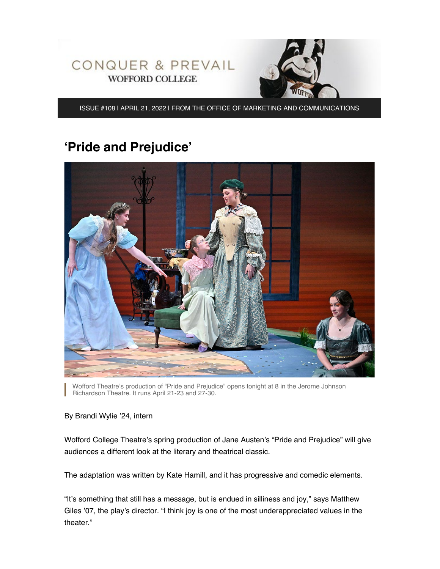



ISSUE #108 | APRIL 21, 2022 | FROM THE OFFICE OF MARKETING AND COMMUNICATIONS

# **'Pride and Prejudice'**



Wofford Theatre's production of "Pride and Prejudice" opens tonight at 8 in the Jerome Johnson Richardson Theatre. It runs April 21-23 and 27-30.

By Brandi Wylie '24, intern

Wofford College Theatre's spring production of Jane Austen's "Pride and Prejudice" will give audiences a different look at the literary and theatrical classic.

The adaptation was written by Kate Hamill, and it has progressive and comedic elements.

"It's something that still has a message, but is endued in silliness and joy," says Matthew Giles '07, the play's director. "I think joy is one of the most underappreciated values in the theater."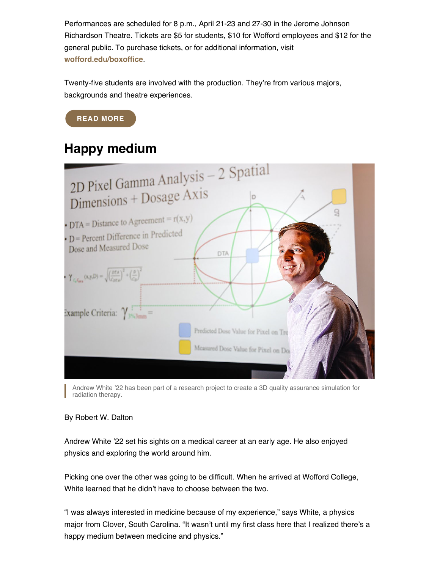Performances are scheduled for 8 p.m., April 21-23 and 27-30 in the Jerome Johnson Richardson Theatre. Tickets are \$5 for students, \$10 for Wofford employees and \$12 for the general public. To purchase tickets, or for additional information, visit **[wofford.edu/boxoffice](https://www.wofford.edu/academics/majors-and-programs/theatre/box-office)**.

Twenty-five students are involved with the production. They're from various majors, backgrounds and theatre experiences.

### **[READ MORE](https://www.wofford.edu/about/news/news-archives/2022/pride-and-prejudice)**

### **Happy medium**



Andrew White '22 has been part of a research project to create a 3D quality assurance simulation for radiation therapy.

#### By Robert W. Dalton

Andrew White '22 set his sights on a medical career at an early age. He also enjoyed physics and exploring the world around him.

Picking one over the other was going to be difficult. When he arrived at Wofford College, White learned that he didn't have to choose between the two.

"I was always interested in medicine because of my experience," says White, a physics major from Clover, South Carolina. "It wasn't until my first class here that I realized there's a happy medium between medicine and physics."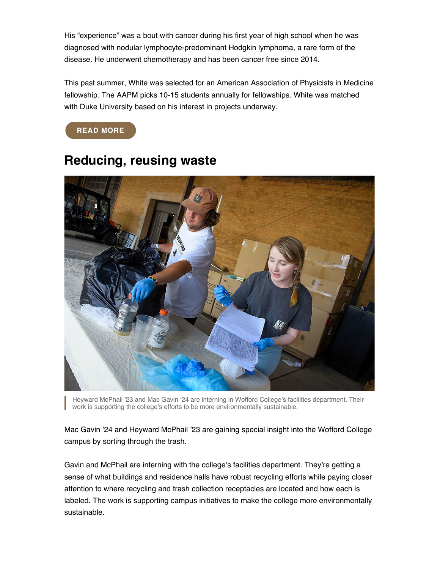His "experience" was a bout with cancer during his first year of high school when he was diagnosed with nodular lymphocyte-predominant Hodgkin lymphoma, a rare form of the disease. He underwent chemotherapy and has been cancer free since 2014.

This past summer, White was selected for an American Association of Physicists in Medicine fellowship. The AAPM picks 10-15 students annually for fellowships. White was matched with Duke University based on his interest in projects underway.

**[READ MORE](https://www.wofford.edu/about/news/news-archives/2022/happy-medium)**



### **Reducing, reusing waste**

Heyward McPhail '23 and Mac Gavin '24 are interning in Wofford College's facilities department. Their work is supporting the college's efforts to be more environmentally sustainable.

Mac Gavin '24 and Heyward McPhail '23 are gaining special insight into the Wofford College campus by sorting through the trash.

Gavin and McPhail are interning with the college's facilities department. They're getting a sense of what buildings and residence halls have robust recycling efforts while paying closer attention to where recycling and trash collection receptacles are located and how each is labeled. The work is supporting campus initiatives to make the college more environmentally sustainable.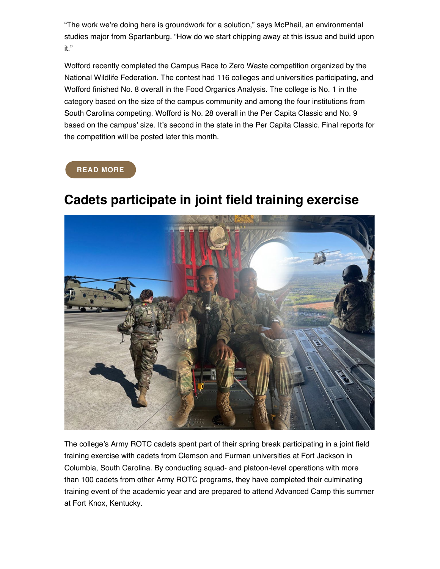"The work we're doing here is groundwork for a solution," says McPhail, an environmental studies major from Spartanburg. "How do we start chipping away at this issue and build upon it."

Wofford recently completed the Campus Race to Zero Waste competition organized by the National Wildlife Federation. The contest had 116 colleges and universities participating, and Wofford finished No. 8 overall in the Food Organics Analysis. The college is No. 1 in the category based on the size of the campus community and among the four institutions from South Carolina competing. Wofford is No. 28 overall in the Per Capita Classic and No. 9 based on the campus' size. It's second in the state in the Per Capita Classic. Final reports for the competition will be posted later this month.

#### **[READ MORE](https://www.wofford.edu/about/news/news-archives/2022/reducing-reusing-waste)**



# **Cadets participate in joint field training exercise**

The college's Army ROTC cadets spent part of their spring break participating in a joint field training exercise with cadets from Clemson and Furman universities at Fort Jackson in Columbia, South Carolina. By conducting squad- and platoon-level operations with more than 100 cadets from other Army ROTC programs, they have completed their culminating training event of the academic year and are prepared to attend Advanced Camp this summer at Fort Knox, Kentucky.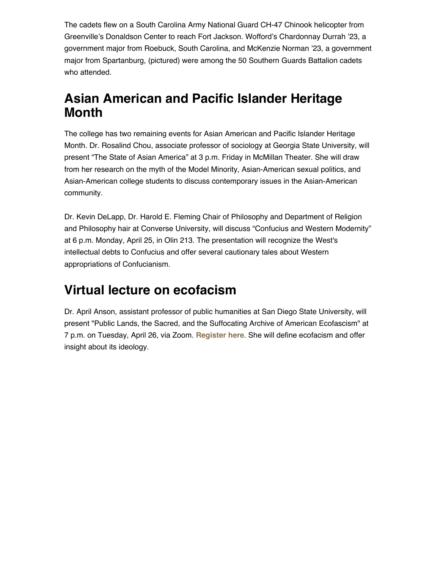The cadets flew on a South Carolina Army National Guard CH-47 Chinook helicopter from Greenville's Donaldson Center to reach Fort Jackson. Wofford's Chardonnay Durrah '23, a government major from Roebuck, South Carolina, and McKenzie Norman '23, a government major from Spartanburg, (pictured) were among the 50 Southern Guards Battalion cadets who attended.

## **Asian American and Pacific Islander Heritage Month**

The college has two remaining events for Asian American and Pacific Islander Heritage Month. Dr. Rosalind Chou, associate professor of sociology at Georgia State University, will present "The State of Asian America" at 3 p.m. Friday in McMillan Theater. She will draw from her research on the myth of the Model Minority, Asian-American sexual politics, and Asian-American college students to discuss contemporary issues in the Asian-American community.

Dr. Kevin DeLapp, Dr. Harold E. Fleming Chair of Philosophy and Department of Religion and Philosophy hair at Converse University, will discuss "Confucius and Western Modernity" at 6 p.m. Monday, April 25, in Olin 213. The presentation will recognize the West's intellectual debts to Confucius and offer several cautionary tales about Western appropriations of Confucianism.

# **Virtual lecture on ecofacism**

Dr. April Anson, assistant professor of public humanities at San Diego State University, will present "Public Lands, the Sacred, and the Suffocating Archive of American Ecofascism" at 7 p.m. on Tuesday, April 26, via Zoom. **[Register here](https://wofford.zoom.us/webinar/register/WN_L4tMTqKWQZqwX7gXuE4DjA)**. She will define ecofacism and offer insight about its ideology.